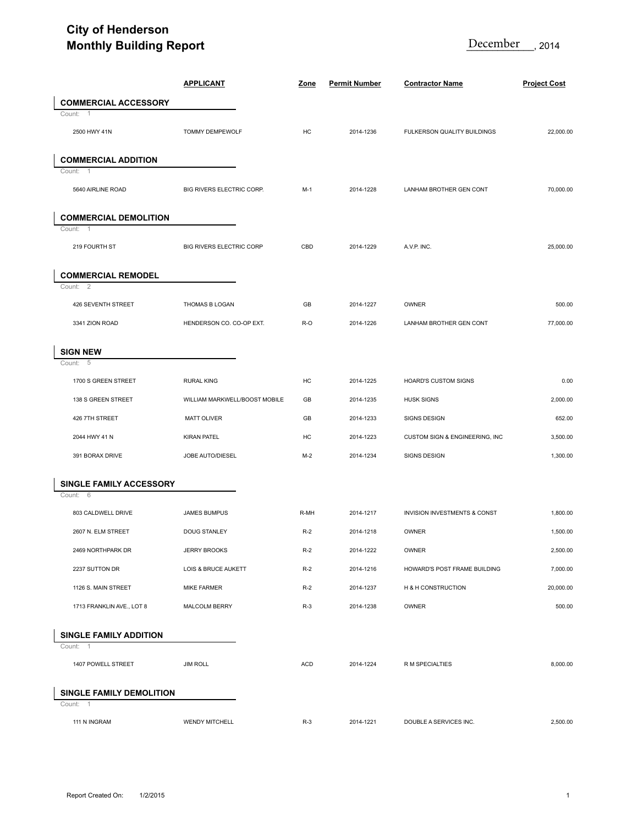## **City of Henderson Monthly Building Report**

| <b>Monthly Building Report</b>            |                                 |             |                      | December<br>2014               |                     |  |
|-------------------------------------------|---------------------------------|-------------|----------------------|--------------------------------|---------------------|--|
|                                           | <b>APPLICANT</b>                | <b>Zone</b> | <b>Permit Number</b> | <b>Contractor Name</b>         | <b>Project Cost</b> |  |
| <b>COMMERCIAL ACCESSORY</b>               |                                 |             |                      |                                |                     |  |
| Count:<br>$\overline{1}$<br>2500 HWY 41N  | TOMMY DEMPEWOLF                 | HC          | 2014-1236            | FULKERSON QUALITY BUILDINGS    | 22,000.00           |  |
| <b>COMMERCIAL ADDITION</b>                |                                 |             |                      |                                |                     |  |
| Count:<br>-1<br>5640 AIRLINE ROAD         | BIG RIVERS ELECTRIC CORP.       | $M-1$       | 2014-1228            | LANHAM BROTHER GEN CONT        | 70,000.00           |  |
| <b>COMMERCIAL DEMOLITION</b>              |                                 |             |                      |                                |                     |  |
| $\overline{1}$<br>Count:<br>219 FOURTH ST | <b>BIG RIVERS ELECTRIC CORP</b> | CBD         | 2014-1229            | A.V.P. INC.                    | 25,000.00           |  |
| <b>COMMERCIAL REMODEL</b><br>Count: 2     |                                 |             |                      |                                |                     |  |
| 426 SEVENTH STREET                        | THOMAS B LOGAN                  | GB          | 2014-1227            | OWNER                          | 500.00              |  |
| 3341 ZION ROAD                            | HENDERSON CO. CO-OP EXT.        | R-O         | 2014-1226            | LANHAM BROTHER GEN CONT        | 77,000.00           |  |
| <b>SIGN NEW</b>                           |                                 |             |                      |                                |                     |  |
| Count:<br>- 5                             |                                 |             |                      |                                |                     |  |
| 1700 S GREEN STREET                       | <b>RURAL KING</b>               | HC          | 2014-1225            | <b>HOARD'S CUSTOM SIGNS</b>    | 0.00                |  |
| 138 S GREEN STREET                        | WILLIAM MARKWELL/BOOST MOBILE   | GB          | 2014-1235            | <b>HUSK SIGNS</b>              | 2,000.00            |  |
| 426 7TH STREET                            | <b>MATT OLIVER</b>              | GB          | 2014-1233            | SIGNS DESIGN                   | 652.00              |  |
| 2044 HWY 41 N                             | <b>KIRAN PATEL</b>              | HC          | 2014-1223            | CUSTOM SIGN & ENGINEERING, INC | 3,500.00            |  |
| 391 BORAX DRIVE                           | JOBE AUTO/DIESEL                | $M-2$       | 2014-1234            | SIGNS DESIGN                   | 1,300.00            |  |
| SINGLE FAMILY ACCESSORY                   |                                 |             |                      |                                |                     |  |
| Count: 6                                  |                                 |             |                      |                                |                     |  |
| 803 CALDWELL DRIVE                        | JAMES BUMPUS                    | R-MH        | 2014-1217            | INVISION INVESTMENTS & CONST   | 1,800.00            |  |
| 2607 N. ELM STREET                        | DOUG STANLEY                    | $R-2$       | 2014-1218            | OWNER                          | 1,500.00            |  |
| 2469 NORTHPARK DR                         | <b>JERRY BROOKS</b>             | $R-2$       | 2014-1222            | OWNER                          | 2,500.00            |  |
| 2237 SUTTON DR                            | LOIS & BRUCE AUKETT             | $R-2$       | 2014-1216            | HOWARD'S POST FRAME BUILDING   | 7,000.00            |  |
| 1126 S. MAIN STREET                       | <b>MIKE FARMER</b>              | $R-2$       | 2014-1237            | H & H CONSTRUCTION             | 20,000.00           |  |
| 1713 FRANKLIN AVE., LOT 8                 | MALCOLM BERRY                   | $R-3$       | 2014-1238            | <b>OWNER</b>                   | 500.00              |  |
| <b>SINGLE FAMILY ADDITION</b><br>Count: 1 |                                 |             |                      |                                |                     |  |
| 1407 POWELL STREET                        | <b>JIM ROLL</b>                 | ACD         | 2014-1224            | R M SPECIALTIES                | 8,000.00            |  |
| SINGLE FAMILY DEMOLITION<br>Count: 1      |                                 |             |                      |                                |                     |  |
| 111 N INGRAM                              | <b>WENDY MITCHELL</b>           | $R-3$       | 2014-1221            | DOUBLE A SERVICES INC.         | 2,500.00            |  |